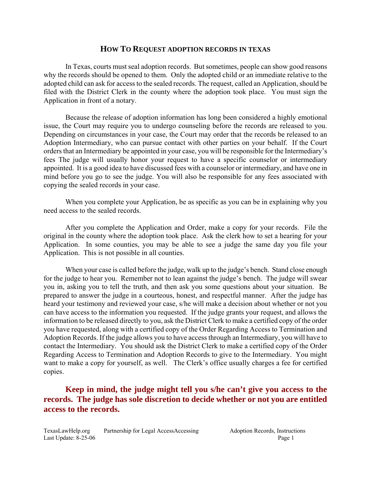# **HOW TO REQUEST ADOPTION RECORDS IN TEXAS**

In Texas, courts must seal adoption records. But sometimes, people can show good reasons why the records should be opened to them. Only the adopted child or an immediate relative to the adopted child can ask for access to the sealed records. The request, called an Application, should be filed with the District Clerk in the county where the adoption took place. You must sign the Application in front of a notary.

Because the release of adoption information has long been considered a highly emotional issue, the Court may require you to undergo counseling before the records are released to you. Depending on circumstances in your case, the Court may order that the records be released to an Adoption Intermediary, who can pursue contact with other parties on your behalf. If the Court orders that an Intermediary be appointed in your case, you will be responsible for the Intermediary's fees The judge will usually honor your request to have a specific counselor or intermediary appointed. It is a good idea to have discussed fees with a counselor or intermediary, and have one in mind before you go to see the judge. You will also be responsible for any fees associated with copying the sealed records in your case.

When you complete your Application, be as specific as you can be in explaining why you need access to the sealed records.

After you complete the Application and Order, make a copy for your records. File the original in the county where the adoption took place. Ask the clerk how to set a hearing for your Application. In some counties, you may be able to see a judge the same day you file your Application. This is not possible in all counties.

When your case is called before the judge, walk up to the judge's bench. Stand close enough for the judge to hear you. Remember not to lean against the judge's bench. The judge will swear you in, asking you to tell the truth, and then ask you some questions about your situation. Be prepared to answer the judge in a courteous, honest, and respectful manner. After the judge has heard your testimony and reviewed your case, s/he will make a decision about whether or not you can have access to the information you requested. If the judge grants your request, and allows the information to be released directly to you, ask the District Clerk to make a certified copy of the order you have requested, along with a certified copy of the Order Regarding Access to Termination and Adoption Records. If the judge allows you to have access through an Intermediary, you will have to contact the Intermediary. You should ask the District Clerk to make a certified copy of the Order Regarding Access to Termination and Adoption Records to give to the Intermediary. You might want to make a copy for yourself, as well. The Clerk's office usually charges a fee for certified copies.

**Keep in mind, the judge might tell you s/he can't give you access to the records. The judge has sole discretion to decide whether or not you are entitled access to the records.**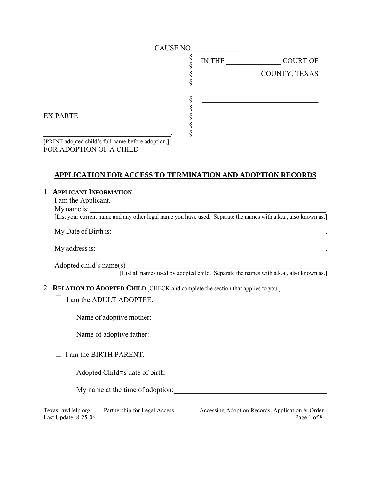|                                                                                                                                                                                                                                                                                                                                                                                                                                                                                                                                   | CAUSE NO. |                 |
|-----------------------------------------------------------------------------------------------------------------------------------------------------------------------------------------------------------------------------------------------------------------------------------------------------------------------------------------------------------------------------------------------------------------------------------------------------------------------------------------------------------------------------------|-----------|-----------------|
|                                                                                                                                                                                                                                                                                                                                                                                                                                                                                                                                   | IN THE    | <b>COURT OF</b> |
|                                                                                                                                                                                                                                                                                                                                                                                                                                                                                                                                   |           | COUNTY, TEXAS   |
| <b>EX PARTE</b>                                                                                                                                                                                                                                                                                                                                                                                                                                                                                                                   |           |                 |
| $\frac{1}{2}$<br>$\mathbf{1} \times \mathbf{2} \times \mathbf{3} \times \mathbf{4} \times \mathbf{5} \times \mathbf{6} \times \mathbf{7} \times \mathbf{8} \times \mathbf{8} \times \mathbf{9} \times \mathbf{1} \times \mathbf{1} \times \mathbf{1} \times \mathbf{1} \times \mathbf{1} \times \mathbf{1} \times \mathbf{1} \times \mathbf{1} \times \mathbf{1} \times \mathbf{1} \times \mathbf{1} \times \mathbf{1} \times \mathbf{1} \times \mathbf{1} \times \mathbf{1} \times \mathbf{1} \times \mathbf{1} \times \mathbf{$ |           |                 |

[PRINT adopted child's full name before adoption.] FOR ADOPTION OF A CHILD

# **APPLICATION FOR ACCESS TO TERMINATION AND ADOPTION RECORDS**

### 1. **APPLICANT INFORMATION**

| I am the Applicant.                                                                |                                                                                                                                |
|------------------------------------------------------------------------------------|--------------------------------------------------------------------------------------------------------------------------------|
|                                                                                    | My name is:<br>[List your current name and any other legal name you have used. Separate the names with a.k.a., also known as.] |
| My Date of Birth is:                                                               |                                                                                                                                |
|                                                                                    |                                                                                                                                |
|                                                                                    | Adopted child's name(s)<br>[List all names used by adopted child. Separate the names with a.k.a., also known as.]              |
| 2. RELATION TO ADOPTED CHILD [CHECK and complete the section that applies to you.] |                                                                                                                                |
| I am the ADULT ADOPTEE.                                                            |                                                                                                                                |
|                                                                                    |                                                                                                                                |
|                                                                                    |                                                                                                                                |
| I am the BIRTH PARENT.                                                             |                                                                                                                                |
| Adopted Child=s date of birth:                                                     |                                                                                                                                |
|                                                                                    | My name at the time of adoption:                                                                                               |
| TexasLawHelp.org Partnership for Legal Access<br>Last Update: 8-25-06              | Accessing Adoption Records, Application & Order<br>Page 1 of 8                                                                 |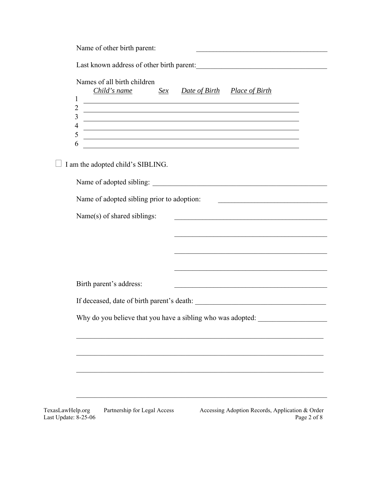|                | Names of all birth children<br>Child's name | Sex | Date of Birth                                               | Place of Birth                                                                                                         |  |
|----------------|---------------------------------------------|-----|-------------------------------------------------------------|------------------------------------------------------------------------------------------------------------------------|--|
| $\mathbf 1$    |                                             |     |                                                             |                                                                                                                        |  |
| $\overline{2}$ |                                             |     |                                                             |                                                                                                                        |  |
| 3              |                                             |     |                                                             | <u> 1980 - Johann Barn, mars ann an t-Amhain Aonaichte ann an t-Amhain Aonaichte ann an t-Amhain Aonaichte ann an</u>  |  |
| $\overline{4}$ |                                             |     |                                                             | <u> 1989 - Johann Stoff, deutscher Stoffen und der Stoffen und der Stoffen und der Stoffen und der Stoffen und der</u> |  |
| 5<br>6         |                                             |     |                                                             | <u> 1980 - Andrea Station Barbara, amerikan personal (h. 1980)</u>                                                     |  |
|                | I am the adopted child's SIBLING.           |     |                                                             |                                                                                                                        |  |
|                |                                             |     |                                                             | Name of adopted sibling:                                                                                               |  |
|                | Name of adopted sibling prior to adoption:  |     |                                                             |                                                                                                                        |  |
|                | Name(s) of shared siblings:                 |     |                                                             |                                                                                                                        |  |
|                |                                             |     |                                                             |                                                                                                                        |  |
|                |                                             |     |                                                             |                                                                                                                        |  |
|                |                                             |     |                                                             |                                                                                                                        |  |
|                |                                             |     |                                                             |                                                                                                                        |  |
|                |                                             |     |                                                             |                                                                                                                        |  |
|                | Birth parent's address:                     |     |                                                             |                                                                                                                        |  |
|                |                                             |     |                                                             | If deceased, date of birth parent's death:                                                                             |  |
|                |                                             |     | Why do you believe that you have a sibling who was adopted: |                                                                                                                        |  |
|                |                                             |     |                                                             |                                                                                                                        |  |
|                |                                             |     |                                                             |                                                                                                                        |  |
|                |                                             |     |                                                             |                                                                                                                        |  |
|                |                                             |     |                                                             |                                                                                                                        |  |
|                |                                             |     |                                                             |                                                                                                                        |  |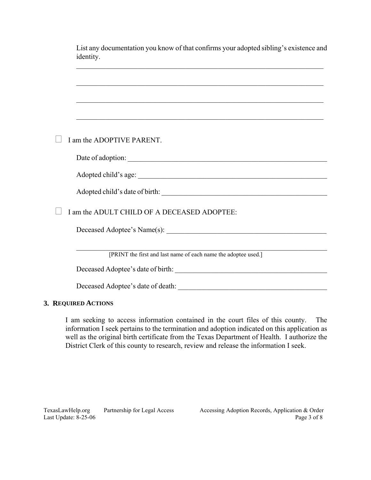| List any documentation you know of that confirms your adopted sibling's existence and<br>identity.                                           |
|----------------------------------------------------------------------------------------------------------------------------------------------|
|                                                                                                                                              |
|                                                                                                                                              |
|                                                                                                                                              |
|                                                                                                                                              |
|                                                                                                                                              |
| I am the ADOPTIVE PARENT.                                                                                                                    |
|                                                                                                                                              |
| Adopted child's age:                                                                                                                         |
|                                                                                                                                              |
| I am the ADULT CHILD OF A DECEASED ADOPTEE:                                                                                                  |
|                                                                                                                                              |
| the control of the control of the control of the control of the control of<br>[PRINT the first and last name of each name the adoptee used.] |
|                                                                                                                                              |
|                                                                                                                                              |
| 3. REQUIRED ACTIONS                                                                                                                          |

I am seeking to access information contained in the court files of this county. The information I seek pertains to the termination and adoption indicated on this application as well as the original birth certificate from the Texas Department of Health. I authorize the District Clerk of this county to research, review and release the information I seek.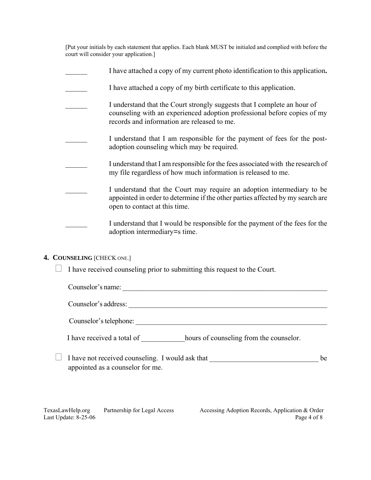[Put your initials by each statement that applies. Each blank MUST be initialed and complied with before the court will consider your application.]

- \_\_\_\_\_\_ I have attached a copy of my current photo identification to this application**.** I have attached a copy of my birth certificate to this application. I understand that the Court strongly suggests that I complete an hour of counseling with an experienced adoption professional before copies of my records and information are released to me. I understand that I am responsible for the payment of fees for the postadoption counseling which may be required. I understand that I am responsible for the fees associated with the research of my file regardless of how much information is released to me. I understand that the Court may require an adoption intermediary to be appointed in order to determine if the other parties affected by my search are open to contact at this time. I understand that I would be responsible for the payment of the fees for the adoption intermediary=s time.
- **4. COUNSELING** [CHECK ONE.]
	- $\Box$  I have received counseling prior to submitting this request to the Court.

| Counselor's name:    |  |  |
|----------------------|--|--|
|                      |  |  |
| Counselor's address: |  |  |

| Counselor's telephone: |
|------------------------|
|------------------------|

I have received a total of hours of counseling from the counselor.

 $\Box$  I have not received counseling. I would ask that  $\Box$ appointed as a counselor for me.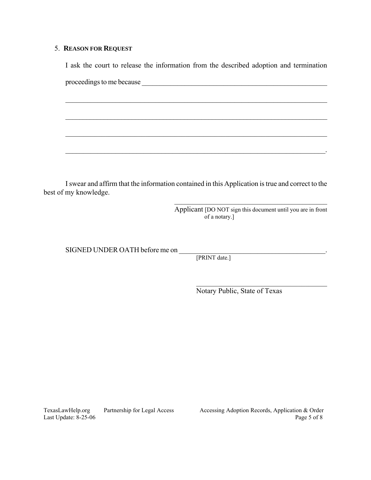#### 5. **REASON FOR REQUEST**

I ask the court to release the information from the described adoption and termination

\_\_\_\_\_\_\_\_\_\_\_\_\_\_\_\_\_\_\_\_\_\_\_\_\_\_\_\_\_\_\_\_\_\_\_\_\_\_\_\_\_\_\_\_\_\_\_\_\_\_\_\_\_\_\_\_\_\_\_\_\_\_\_\_\_\_\_\_\_\_\_\_\_

\_\_\_\_\_\_\_\_\_\_\_\_\_\_\_\_\_\_\_\_\_\_\_\_\_\_\_\_\_\_\_\_\_\_\_\_\_\_\_\_\_\_\_\_\_\_\_\_\_\_\_\_\_\_\_\_\_\_\_\_\_\_\_\_\_\_\_\_\_\_\_\_\_\_\_

 $\_$ 

\_\_\_\_\_\_\_\_\_\_\_\_\_\_\_\_\_\_\_\_\_\_\_\_\_\_\_\_\_\_\_\_\_\_\_\_\_\_\_\_\_\_\_\_\_\_\_\_\_\_\_\_\_\_\_\_\_\_\_\_\_\_\_\_\_\_\_\_\_\_\_\_\_.

 $\frac{1}{2}$  ,  $\frac{1}{2}$  ,  $\frac{1}{2}$  ,  $\frac{1}{2}$  ,  $\frac{1}{2}$  ,  $\frac{1}{2}$  ,  $\frac{1}{2}$  ,  $\frac{1}{2}$  ,  $\frac{1}{2}$  ,  $\frac{1}{2}$  ,  $\frac{1}{2}$  ,  $\frac{1}{2}$  ,  $\frac{1}{2}$  ,  $\frac{1}{2}$  ,  $\frac{1}{2}$  ,  $\frac{1}{2}$  ,  $\frac{1}{2}$  ,  $\frac{1}{2}$  ,  $\frac{1$ 

proceedings to me because

I swear and affirm that the information contained in this Application is true and correct to the best of my knowledge.

> Applicant [DO NOT sign this document until you are in front of a notary.]

SIGNED UNDER OATH before me on \_\_\_\_\_\_\_\_\_\_\_\_\_\_\_\_\_\_\_\_\_\_\_\_\_\_\_\_\_\_\_\_\_\_\_\_\_\_\_\_\_.

[PRINT date.]

Notary Public, State of Texas

 $\overline{\phantom{a}}$  , and the set of the set of the set of the set of the set of the set of the set of the set of the set of the set of the set of the set of the set of the set of the set of the set of the set of the set of the s

TexasLawHelp.org Partnership for Legal Access Accessing Adoption Records, Application & Order<br>Last Update: 8-25-06 Page 5 of 8 Last Update:  $8-25-06$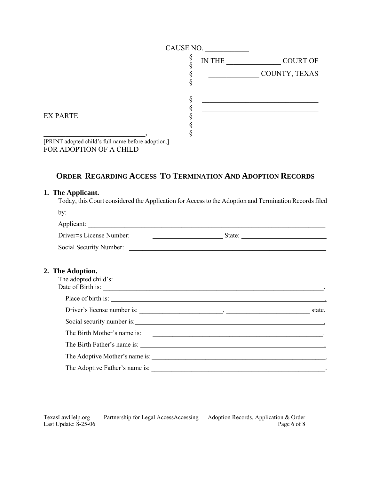|                                                    | CAUSE NO. |        |                 |
|----------------------------------------------------|-----------|--------|-----------------|
|                                                    |           | IN THE | <b>COURT OF</b> |
|                                                    |           |        | COUNTY, TEXAS   |
| <b>EX PARTE</b>                                    |           |        |                 |
| [PRINT adopted child's full name before adoption.] |           |        |                 |

FOR ADOPTION OF A CHILD

# **ORDER REGARDING ACCESS TO TERMINATION AND ADOPTION RECORDS**

#### **1. The Applicant.**

Today, this Court considered the Application for Access to the Adoption and Termination Records filed

by:

| Applicant:               |        |
|--------------------------|--------|
| Driver=s License Number: | State: |
| Social Security Number:  |        |

# **2. The Adoption.**

| 2. тистиорион.<br>The adopted child's: |        |
|----------------------------------------|--------|
| Place of birth is:                     |        |
|                                        | state. |
|                                        |        |
| The Birth Mother's name is:            |        |
|                                        |        |
| The Adoptive Mother's name is:         |        |
| The Adoptive Father's name is:         |        |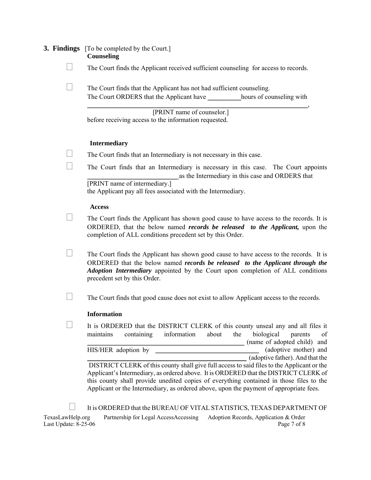|                | <b>3. Findings</b> [To be completed by the Court.]<br>Counseling                                                                                                                                                                                                                                                                                                                                           |
|----------------|------------------------------------------------------------------------------------------------------------------------------------------------------------------------------------------------------------------------------------------------------------------------------------------------------------------------------------------------------------------------------------------------------------|
|                | The Court finds the Applicant received sufficient counseling for access to records.                                                                                                                                                                                                                                                                                                                        |
|                | The Court finds that the Applicant has not had sufficient counseling.<br>The Court ORDERS that the Applicant have ___________________hours of counseling with                                                                                                                                                                                                                                              |
|                | [PRINT name of counselor.]<br>before receiving access to the information requested.                                                                                                                                                                                                                                                                                                                        |
|                | <b>Intermediary</b>                                                                                                                                                                                                                                                                                                                                                                                        |
|                | The Court finds that an Intermediary is not necessary in this case.                                                                                                                                                                                                                                                                                                                                        |
|                | The Court finds that an Intermediary is necessary in this case. The Court appoints<br>as the Intermediary in this case and ORDERS that                                                                                                                                                                                                                                                                     |
|                | [PRINT name of intermediary.]<br>the Applicant pay all fees associated with the Intermediary.                                                                                                                                                                                                                                                                                                              |
|                | <b>Access</b>                                                                                                                                                                                                                                                                                                                                                                                              |
|                | The Court finds the Applicant has shown good cause to have access to the records. It is<br>ORDERED, that the below named <i>records be released to the Applicant</i> , upon the<br>completion of ALL conditions precedent set by this Order.                                                                                                                                                               |
| $\blacksquare$ | The Court finds the Applicant has shown good cause to have access to the records. It is<br>ORDERED that the below named <i>records be released to the Applicant through the</i><br>Adoption Intermediary appointed by the Court upon completion of ALL conditions<br>precedent set by this Order.                                                                                                          |
|                | The Court finds that good cause does not exist to allow Applicant access to the records.                                                                                                                                                                                                                                                                                                                   |
|                | <b>Information</b>                                                                                                                                                                                                                                                                                                                                                                                         |
|                | It is ORDERED that the DISTRICT CLERK of this county unseal any and all files it<br>information<br>biological<br>about<br>the<br>maintains<br>containing<br>parents<br>of<br>(name of adopted child) and                                                                                                                                                                                                   |
|                | (adoptive mother) and                                                                                                                                                                                                                                                                                                                                                                                      |
|                | (adoptive father). And that the<br>DISTRICT CLERK of this county shall give full access to said files to the Applicant or the<br>Applicant's Intermediary, as ordered above. It is ORDERED that the DISTRICT CLERK of<br>this county shall provide unedited copies of everything contained in those files to the<br>Applicant or the Intermediary, as ordered above, upon the payment of appropriate fees. |
|                | It is ORDERED that the BUREAU OF VITAL STATISTICS, TEXAS DEPARTMENT OF<br>TexasLawHelp.org Partnership for Legal AccessAccessing Adoption Records. Application & Order                                                                                                                                                                                                                                     |

TexasLawHelp.org Partnership for Legal AccessAccessing Adoption Records, Application & Order Last Update: 8-25-06 Page 7 of 8